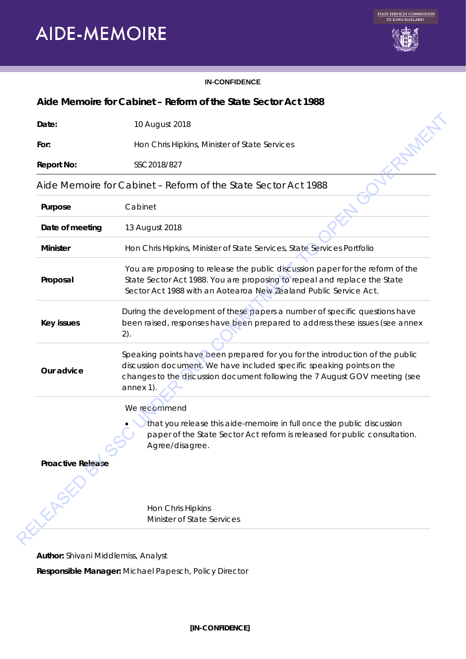# **AIDE-MEMOIRE**



#### **IN-CONFIDENCE**

## **Aide Memoire for Cabinet – Reform of the State Sector Act 1988**

| Date:                    | 10 August 2018                                                                                                                                                                                                                                    |
|--------------------------|---------------------------------------------------------------------------------------------------------------------------------------------------------------------------------------------------------------------------------------------------|
| For:                     | Hon Chris Hipkins, Minister of State Services                                                                                                                                                                                                     |
| <b>Report No:</b>        | SSC2018/827                                                                                                                                                                                                                                       |
|                          | Aide Memoire for Cabinet – Reform of the State Sector Act 1988                                                                                                                                                                                    |
| Purpose                  | Cabinet                                                                                                                                                                                                                                           |
| Date of meeting          | 13 August 2018                                                                                                                                                                                                                                    |
| <b>Minister</b>          | Hon Chris Hipkins, Minister of State Services, State Services Portfolio                                                                                                                                                                           |
| Proposal                 | You are proposing to release the public discussion paper for the reform of the<br>State Sector Act 1988. You are proposing to repeal and replace the State<br>Sector Act 1988 with an Aotearoa New Zealand Public Service Act.                    |
| <b>Key issues</b>        | During the development of these papers a number of specific questions have<br>been raised, responses have been prepared to address these issues (see annex<br>2).                                                                                 |
| Our advice               | Speaking points have been prepared for you for the introduction of the public<br>discussion document. We have included specific speaking points on the<br>changes to the discussion document following the 7 August GOV meeting (see<br>annex 1). |
|                          | We recommend                                                                                                                                                                                                                                      |
|                          | that you release this aide-memoire in full once the public discussion<br>paper of the State Sector Act reform is released for public consultation.<br>Agree/disagree.                                                                             |
| <b>Proactive Release</b> |                                                                                                                                                                                                                                                   |
|                          |                                                                                                                                                                                                                                                   |
|                          | Hon Chris Hipkins                                                                                                                                                                                                                                 |
|                          | Minister of State Services                                                                                                                                                                                                                        |

**Responsible Manager:** Michael Papesch, Policy Director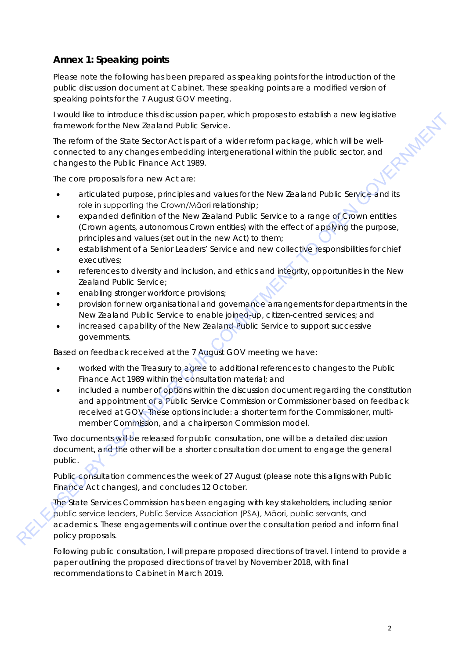# **Annex 1: Speaking points**

*Please note the following has been prepared as speaking points for the introduction of the public discussion document at Cabinet. These speaking points are a modified version of speaking points for the 7 August GOV meeting.*

framework for the New Zealand Public Service.

I would like to introduce this discussion paper, which proposes to establish a new legislative<br>framework for the New Zealand Public Service.<br>The reform of the State Sector Act is part of a wider reform package, which will The reform of the State Sector Act is part of a wider reform package, which will be wellconnected to any changes embedding intergenerational within the public sector, and changes to the Public Finance Act 1989.

The core proposals for a new Act are:

- articulated purpose, principles and values for the New Zealand Public Service and its role in supporting the Crown/Māori relationship;
- expanded definition of the New Zealand Public Service to a range of Crown entities (Crown agents, autonomous Crown entities) with the effect of applying the purpose, principles and values (set out in the new Act) to them;
- establishment of a Senior Leaders' Service and new collective responsibilities for chief executives;
- references to diversity and inclusion, and ethics and integrity, opportunities in the New Zealand Public Service;
- enabling stronger workforce provisions;
- provision for new organisational and governance arrangements for departments in the New Zealand Public Service to enable joined-up, citizen-centred services; and
- increased capability of the New Zealand Public Service to support successive governments.

Based on feedback received at the 7 August GOV meeting we have:

- worked with the Treasury to agree to additional references to changes to the Public Finance Act 1989 within the consultation material; and
- included a number of options within the discussion document regarding the constitution and appointment of a Public Service Commission or Commissioner based on feedback received at GOV. These options include: a shorter term for the Commissioner, multimember Commission, and a chairperson Commission model. Everyond the montologie and the constraints of the constraints of the proposes to reach the modern of the SMS constraints of the MD committed to the Propose when the SMS constraints of the Propose solution of the SMS const

Two documents will be released for public consultation, one will be a detailed discussion document, and the other will be a shorter consultation document to engage the general public.

Public consultation commences the week of 27 August (please note this aligns with Public Finance Act changes), and concludes 12 October.

The State Services Commission has been engaging with key stakeholders, including senior public service leaders, Public Service Association (PSA), Māori, public servants, and academics. These engagements will continue over the consultation period and inform final policy proposals.

Following public consultation, I will prepare proposed directions of travel. I intend to provide a paper outlining the proposed directions of travel by November 2018, with final recommendations to Cabinet in March 2019.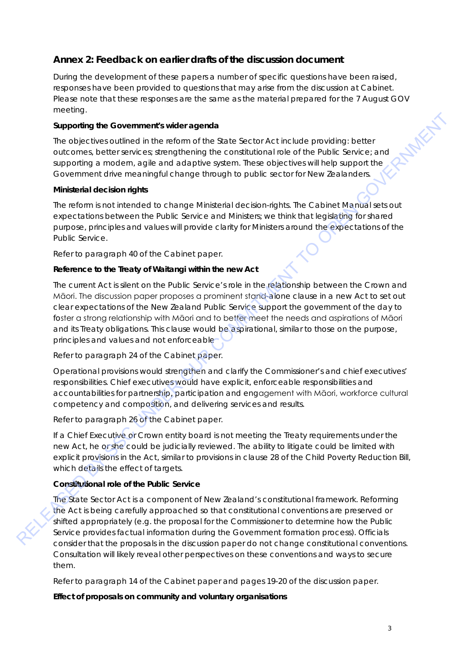# **Annex 2: Feedback on earlier drafts of the discussion document**

*During the development of these papers a number of specific questions have been raised, responses have been provided to questions that may arise from the discussion at Cabinet. Please note that these responses are the same as the material prepared for the 7 August GOV meeting.*

## **Supporting the Government's wider agenda**

The objectives outlined in the reform of the State Sector Act include providing: better outcomes, better services; strengthening the constitutional role of the Public Service; and supporting a modern, agile and adaptive system. These objectives will help support the Government drive meaningful change through to public sector for New Zealanders.

#### **Ministerial decision rights**

The reform is not intended to change Ministerial decision-rights. The Cabinet Manual sets out expectations between the Public Service and Ministers; we think that legislating for shared purpose, principles and values will provide clarity for Ministers around the expectations of the Public Service.

*Refer to paragraph 40 of the Cabinet paper.*

#### **Reference to the Treaty of Waitangi within the new Act**

The current Act is silent on the Public Service's role in the relationship between the Crown and Māori. The discussion paper proposes a prominent stand-alone clause in a new Act to set out clear expectations of the New Zealand Public Service support the government of the day to foster a strong relationship with Māori and to better meet the needs and aspirations of Māori and its Treaty obligations. This clause would be aspirational, similar to those on the purpose, principles and values and not enforceable Supporting the Governments wider agenda<br>
The objectives culting the constrained by the state stockholical constrained by the Public Screence and<br>
supporting in model and the model of the Screence stress objectives subseque

## *Refer to paragraph 24 of the Cabinet paper.*

Operational provisions would strengthen and clarify the Commissioner's and chief executives' responsibilities. Chief executives would have explicit, enforceable responsibilities and accountabilities for partnership, participation and engagement with Māori, workforce cultural competency and composition, and delivering services and results.

## *Refer to paragraph 26 of the Cabinet paper.*

If a Chief Executive or Crown entity board is not meeting the Treaty requirements under the new Act, he or she could be judicially reviewed. The ability to litigate could be limited with explicit provisions in the Act, similar to provisions in clause 28 of the Child Poverty Reduction Bill, which details the effect of targets.

## **Constitutional role of the Public Service**

The State Sector Act is a component of New Zealand's constitutional framework. Reforming the Act is being carefully approached so that constitutional conventions are preserved or shifted appropriately (e.g. the proposal for the Commissioner to determine how the Public Service provides factual information during the Government formation process). Officials consider that the proposals in the discussion paper do not change constitutional conventions. Consultation will likely reveal other perspectives on these conventions and ways to secure them.

*Refer to paragraph 14 of the Cabinet paper and pages 19-20 of the discussion paper.* 

**Effect of proposals on community and voluntary organisations**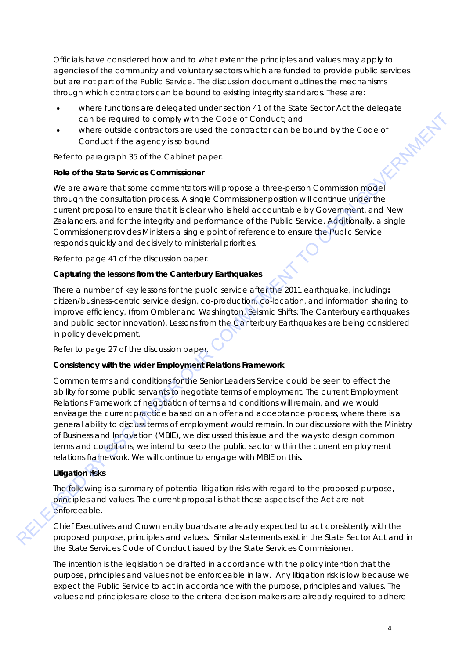Officials have considered how and to what extent the principles and values may apply to agencies of the community and voluntary sectors which are funded to provide public services but are not part of the Public Service. The discussion document outlines the mechanisms through which contractors can be bound to existing integrity standards. These are:

- where functions are delegated under section 41 of the State Sector Act the delegate<br>can be required to comply with the Code of Conduct; and<br>where outside contractors are used the contractor can be bound by the Code of<br>Cond can be required to comply with the Code of Conduct; and
- where outside contractors are used the contractor can be bound by the Code of Conduct if the agency is so bound

*Refer to paragraph 35 of the Cabinet paper.*

## **Role of the State Services Commissioner**

We are aware that some commentators will propose a three-person Commission model through the consultation process. A single Commissioner position will continue under the current proposal to ensure that it is clear who is held accountable by Government, and New Zealanders, and for the integrity and performance of the Public Service. Additionally, a single Commissioner provides Ministers a single point of reference to ensure the Public Service responds quickly and decisively to ministerial priorities.

## *Refer to page 41 of the discussion paper.*

## **Capturing the lessons from the Canterbury Earthquakes**

There a number of key lessons for the public service after the 2011 earthquake, including**:** citizen/business-centric service design, co-production, co-location, and information sharing to improve efficiency, (from Ombler and Washington, *Seismic Shifts: The Canterbury earthquakes and public sector innovation*). Lessons from the Canterbury Earthquakes are being considered in policy development.

*Refer to page 27 of the discussion paper.* 

#### **Consistency with the wider Employment Relations Framework**

Common terms and conditions for the Senior Leaders Service could be seen to effect the ability for some public servants to negotiate terms of employment. The current Employment Relations Framework of negotiation of terms and conditions will remain, and we would envisage the current practice based on an offer and acceptance process, where there is a general ability to discuss terms of employment would remain. In our discussions with the Ministry of Business and Innovation (MBIE), we discussed this issue and the ways to design common terms and conditions, we intend to keep the public sector within the current employment relations framework. We will continue to engage with MBIE on this. combe required to complete interesting with the Code of Conduct and<br>the ferrome particle in the upping is so bound<br>conduct if the upping is so bound<br>Referre particle interesting as distributed interesting and the matrix a

## **Litigation risks**

The following is a summary of potential litigation risks with regard to the proposed purpose, principles and values. The current proposal is that these aspects of the Act are not enforceable.

Chief Executives and Crown entity boards are already expected to act consistently with the proposed purpose, principles and values. Similar statements exist in the State Sector Act and in the State Services Code of Conduct issued by the State Services Commissioner.

The intention is the legislation be drafted in accordance with the policy intention that the purpose, principles and values not be enforceable in law. Any litigation risk is low because we expect the Public Service to act in accordance with the purpose, principles and values. The values and principles are close to the criteria decision makers are already required to adhere